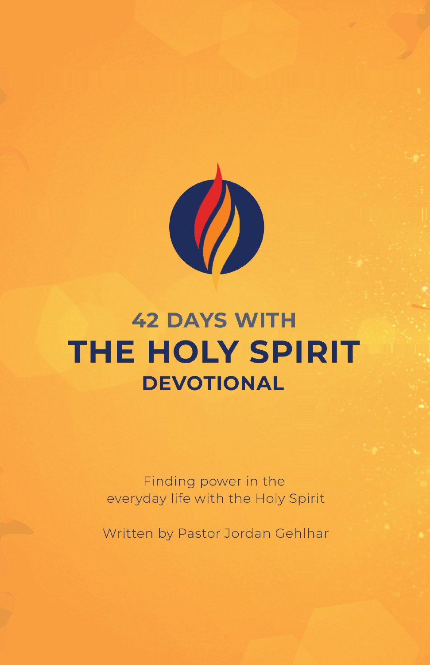

# **42 DAYS WITH THE HOLY SPIRIT DEVOTIONAL**

Finding power in the everyday life with the Holy Spirit

Written by Pastor Jordan Gehlhar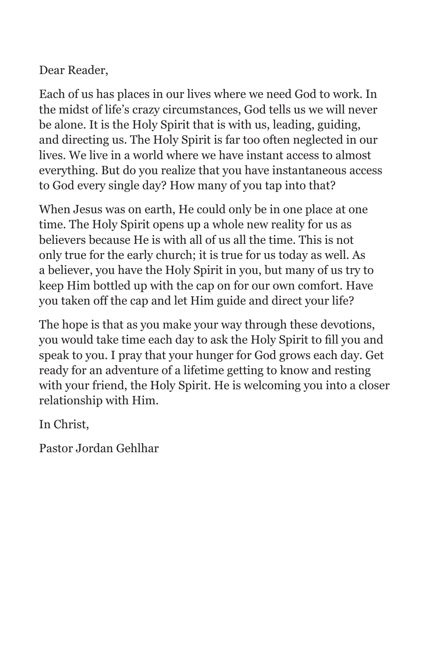Dear Reader,

Each of us has places in our lives where we need God to work. In the midst of life's crazy circumstances, God tells us we will never be alone. It is the Holy Spirit that is with us, leading, guiding, and directing us. The Holy Spirit is far too often neglected in our lives. We live in a world where we have instant access to almost everything. But do you realize that you have instantaneous access to God every single day? How many of you tap into that?

When Jesus was on earth, He could only be in one place at one time. The Holy Spirit opens up a whole new reality for us as believers because He is with all of us all the time. This is not only true for the early church; it is true for us today as well. As a believer, you have the Holy Spirit in you, but many of us try to keep Him bottled up with the cap on for our own comfort. Have you taken off the cap and let Him guide and direct your life?

The hope is that as you make your way through these devotions, you would take time each day to ask the Holy Spirit to fill you and speak to you. I pray that your hunger for God grows each day. Get ready for an adventure of a lifetime getting to know and resting with your friend, the Holy Spirit. He is welcoming you into a closer relationship with Him.

In Christ,

Pastor Jordan Gehlhar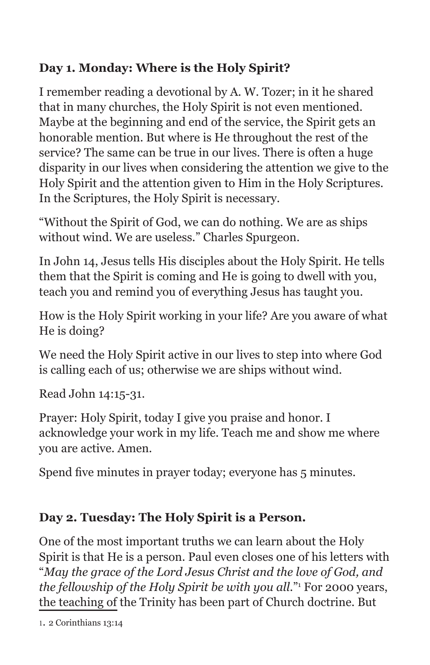## **Day 1. Monday: Where is the Holy Spirit?**

I remember reading a devotional by A. W. Tozer; in it he shared that in many churches, the Holy Spirit is not even mentioned. Maybe at the beginning and end of the service, the Spirit gets an honorable mention. But where is He throughout the rest of the service? The same can be true in our lives. There is often a huge disparity in our lives when considering the attention we give to the Holy Spirit and the attention given to Him in the Holy Scriptures. In the Scriptures, the Holy Spirit is necessary.

"Without the Spirit of God, we can do nothing. We are as ships without wind. We are useless." Charles Spurgeon.

In John 14, Jesus tells His disciples about the Holy Spirit. He tells them that the Spirit is coming and He is going to dwell with you, teach you and remind you of everything Jesus has taught you.

How is the Holy Spirit working in your life? Are you aware of what He is doing?

We need the Holy Spirit active in our lives to step into where God is calling each of us; otherwise we are ships without wind.

Read John 14:15-31.

Prayer: Holy Spirit, today I give you praise and honor. I acknowledge your work in my life. Teach me and show me where you are active. Amen.

Spend five minutes in prayer today; everyone has 5 minutes.

## **Day 2. Tuesday: The Holy Spirit is a Person.**

One of the most important truths we can learn about the Holy Spirit is that He is a person. Paul even closes one of his letters with "*May the grace of the Lord Jesus Christ and the love of God, and the fellowship of the Holy Spirit be with you all.*"1 For 2000 years, the teaching of the Trinity has been part of Church doctrine. But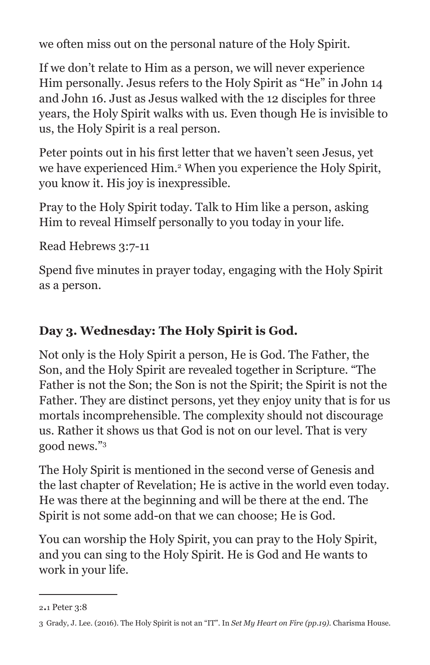we often miss out on the personal nature of the Holy Spirit.

If we don't relate to Him as a person, we will never experience Him personally. Jesus refers to the Holy Spirit as "He" in John 14 and John 16. Just as Jesus walked with the 12 disciples for three years, the Holy Spirit walks with us. Even though He is invisible to us, the Holy Spirit is a real person.

Peter points out in his first letter that we haven't seen Jesus, yet we have experienced Him.2 When you experience the Holy Spirit, you know it. His joy is inexpressible.

Pray to the Holy Spirit today. Talk to Him like a person, asking Him to reveal Himself personally to you today in your life.

Read Hebrews 3:7-11

Spend five minutes in prayer today, engaging with the Holy Spirit as a person.

## **Day 3. Wednesday: The Holy Spirit is God.**

Not only is the Holy Spirit a person, He is God. The Father, the Son, and the Holy Spirit are revealed together in Scripture. "The Father is not the Son; the Son is not the Spirit; the Spirit is not the Father. They are distinct persons, yet they enjoy unity that is for us mortals incomprehensible. The complexity should not discourage us. Rather it shows us that God is not on our level. That is very good news."3

The Holy Spirit is mentioned in the second verse of Genesis and the last chapter of Revelation; He is active in the world even today. He was there at the beginning and will be there at the end. The Spirit is not some add-on that we can choose; He is God.

You can worship the Holy Spirit, you can pray to the Holy Spirit, and you can sing to the Holy Spirit. He is God and He wants to work in your life.

<sup>2.1</sup> Peter 3:8

<sup>3</sup> Grady, J. Lee. (2016). The Holy Spirit is not an "IT". In *Set My Heart on Fire (pp.19)*. Charisma House.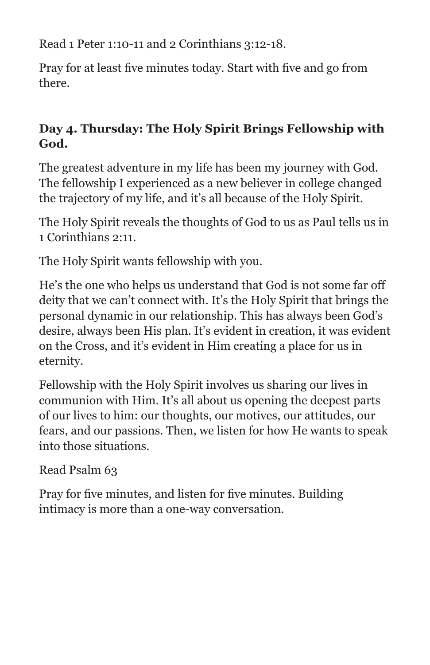Read 1 Peter 1:10-11 and 2 Corinthians 3:12-18.

Pray for at least five minutes today. Start with five and go from there.

## **Day 4. Thursday: The Holy Spirit Brings Fellowship with God.**

The greatest adventure in my life has been my journey with God. The fellowship I experienced as a new believer in college changed the trajectory of my life, and it's all because of the Holy Spirit.

The Holy Spirit reveals the thoughts of God to us as Paul tells us in 1 Corinthians 2:11.

The Holy Spirit wants fellowship with you.

He's the one who helps us understand that God is not some far off deity that we can't connect with. It's the Holy Spirit that brings the personal dynamic in our relationship. This has always been God's desire, always been His plan. It's evident in creation, it was evident on the Cross, and it's evident in Him creating a place for us in eternity.

Fellowship with the Holy Spirit involves us sharing our lives in communion with Him. It's all about us opening the deepest parts of our lives to him: our thoughts, our motives, our attitudes, our fears, and our passions. Then, we listen for how He wants to speak into those situations.

Read Psalm 63

Pray for five minutes, and listen for five minutes. Building intimacy is more than a one-way conversation.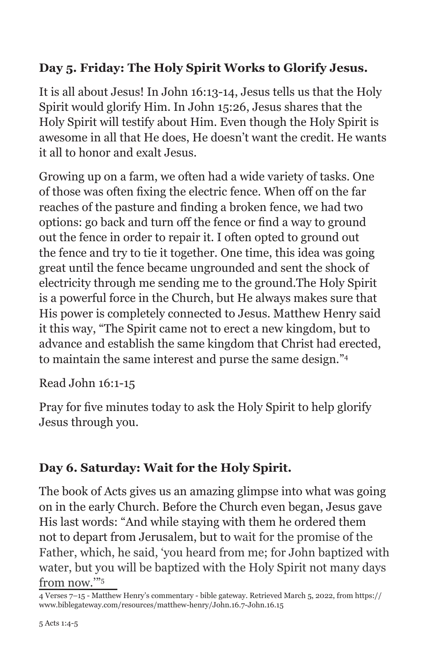#### **Day 5. Friday: The Holy Spirit Works to Glorify Jesus.**

It is all about Jesus! In John 16:13-14, Jesus tells us that the Holy Spirit would glorify Him. In John 15:26, Jesus shares that the Holy Spirit will testify about Him. Even though the Holy Spirit is awesome in all that He does, He doesn't want the credit. He wants it all to honor and exalt Jesus.

Growing up on a farm, we often had a wide variety of tasks. One of those was often fixing the electric fence. When off on the far reaches of the pasture and finding a broken fence, we had two options: go back and turn off the fence or find a way to ground out the fence in order to repair it. I often opted to ground out the fence and try to tie it together. One time, this idea was going great until the fence became ungrounded and sent the shock of electricity through me sending me to the ground.The Holy Spirit is a powerful force in the Church, but He always makes sure that His power is completely connected to Jesus. Matthew Henry said it this way, "The Spirit came not to erect a new kingdom, but to advance and establish the same kingdom that Christ had erected, to maintain the same interest and purse the same design."4

Read John 16:1-15

Pray for five minutes today to ask the Holy Spirit to help glorify Jesus through you.

## **Day 6. Saturday: Wait for the Holy Spirit.**

The book of Acts gives us an amazing glimpse into what was going on in the early Church. Before the Church even began, Jesus gave His last words: "And while staying with them he ordered them not to depart from Jerusalem, but to wait for the promise of the Father, which, he said, 'you heard from me; for John baptized with water, but you will be baptized with the Holy Spirit not many days from now.'"5

<sup>4</sup> Verses 7–15 - Matthew Henry's commentary - bible gateway. Retrieved March 5, 2022, from https:// www.biblegateway.com/resources/matthew-henry/John.16.7-John.16.15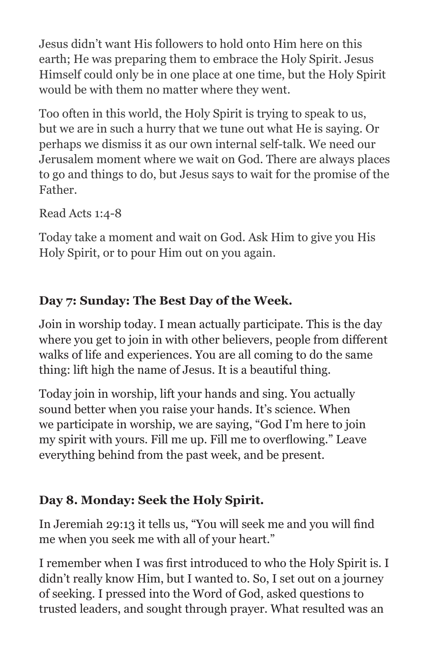Jesus didn't want His followers to hold onto Him here on this earth; He was preparing them to embrace the Holy Spirit. Jesus Himself could only be in one place at one time, but the Holy Spirit would be with them no matter where they went.

Too often in this world, the Holy Spirit is trying to speak to us, but we are in such a hurry that we tune out what He is saying. Or perhaps we dismiss it as our own internal self-talk. We need our Jerusalem moment where we wait on God. There are always places to go and things to do, but Jesus says to wait for the promise of the Father.

Read Acts 1:4-8

Today take a moment and wait on God. Ask Him to give you His Holy Spirit, or to pour Him out on you again.

## **Day 7: Sunday: The Best Day of the Week.**

Join in worship today. I mean actually participate. This is the day where you get to join in with other believers, people from different walks of life and experiences. You are all coming to do the same thing: lift high the name of Jesus. It is a beautiful thing.

Today join in worship, lift your hands and sing. You actually sound better when you raise your hands. It's science. When we participate in worship, we are saying, "God I'm here to join my spirit with yours. Fill me up. Fill me to overflowing." Leave everything behind from the past week, and be present.

## **Day 8. Monday: Seek the Holy Spirit.**

In Jeremiah 29:13 it tells us, "You will seek me and you will find me when you seek me with all of your heart."

I remember when I was first introduced to who the Holy Spirit is. I didn't really know Him, but I wanted to. So, I set out on a journey of seeking. I pressed into the Word of God, asked questions to trusted leaders, and sought through prayer. What resulted was an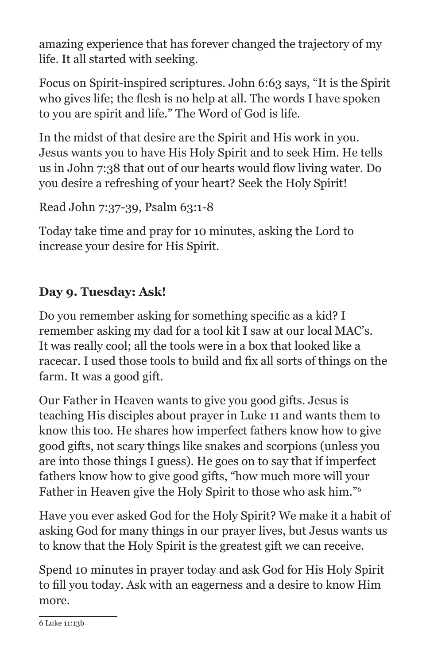amazing experience that has forever changed the trajectory of my life. It all started with seeking.

Focus on Spirit-inspired scriptures. John 6:63 says, "It is the Spirit who gives life; the flesh is no help at all. The words I have spoken to you are spirit and life." The Word of God is life.

In the midst of that desire are the Spirit and His work in you. Jesus wants you to have His Holy Spirit and to seek Him. He tells us in John 7:38 that out of our hearts would flow living water. Do you desire a refreshing of your heart? Seek the Holy Spirit!

```
Read John 7:37-39, Psalm 63:1-8
```
Today take time and pray for 10 minutes, asking the Lord to increase your desire for His Spirit.

## **Day 9. Tuesday: Ask!**

Do you remember asking for something specific as a kid? I remember asking my dad for a tool kit I saw at our local MAC's. It was really cool; all the tools were in a box that looked like a racecar. I used those tools to build and fix all sorts of things on the farm. It was a good gift.

Our Father in Heaven wants to give you good gifts. Jesus is teaching His disciples about prayer in Luke 11 and wants them to know this too. He shares how imperfect fathers know how to give good gifts, not scary things like snakes and scorpions (unless you are into those things I guess). He goes on to say that if imperfect fathers know how to give good gifts, "how much more will your Father in Heaven give the Holy Spirit to those who ask him."6

Have you ever asked God for the Holy Spirit? We make it a habit of asking God for many things in our prayer lives, but Jesus wants us to know that the Holy Spirit is the greatest gift we can receive.

Spend 10 minutes in prayer today and ask God for His Holy Spirit to fill you today. Ask with an eagerness and a desire to know Him more.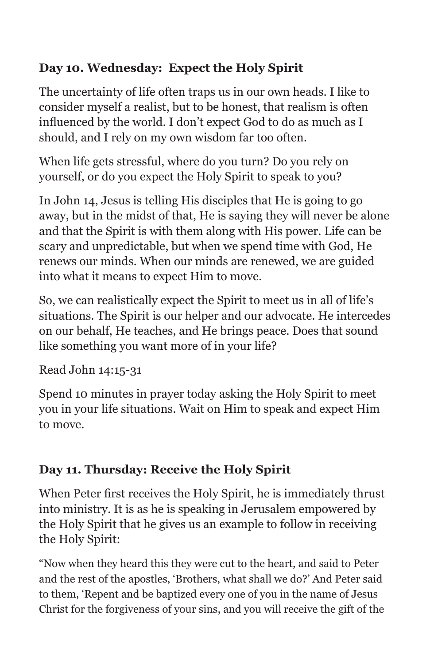## **Day 10. Wednesday: Expect the Holy Spirit**

The uncertainty of life often traps us in our own heads. I like to consider myself a realist, but to be honest, that realism is often influenced by the world. I don't expect God to do as much as I should, and I rely on my own wisdom far too often.

When life gets stressful, where do you turn? Do you rely on yourself, or do you expect the Holy Spirit to speak to you?

In John 14, Jesus is telling His disciples that He is going to go away, but in the midst of that, He is saying they will never be alone and that the Spirit is with them along with His power. Life can be scary and unpredictable, but when we spend time with God, He renews our minds. When our minds are renewed, we are guided into what it means to expect Him to move.

So, we can realistically expect the Spirit to meet us in all of life's situations. The Spirit is our helper and our advocate. He intercedes on our behalf, He teaches, and He brings peace. Does that sound like something you want more of in your life?

#### Read John 14:15-31

Spend 10 minutes in prayer today asking the Holy Spirit to meet you in your life situations. Wait on Him to speak and expect Him to move.

## **Day 11. Thursday: Receive the Holy Spirit**

When Peter first receives the Holy Spirit, he is immediately thrust into ministry. It is as he is speaking in Jerusalem empowered by the Holy Spirit that he gives us an example to follow in receiving the Holy Spirit:

"Now when they heard this they were cut to the heart, and said to Peter and the rest of the apostles, 'Brothers, what shall we do?' And Peter said to them, 'Repent and be baptized every one of you in the name of Jesus Christ for the forgiveness of your sins, and you will receive the gift of the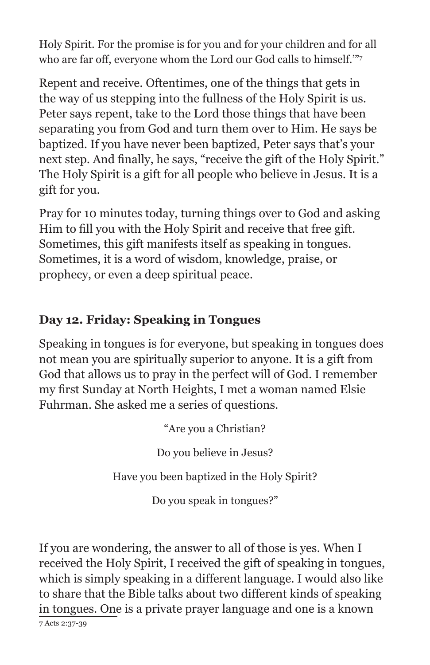Holy Spirit. For the promise is for you and for your children and for all who are far off, everyone whom the Lord our God calls to himself."<sup>7</sup>

Repent and receive. Oftentimes, one of the things that gets in the way of us stepping into the fullness of the Holy Spirit is us. Peter says repent, take to the Lord those things that have been separating you from God and turn them over to Him. He says be baptized. If you have never been baptized, Peter says that's your next step. And finally, he says, "receive the gift of the Holy Spirit." The Holy Spirit is a gift for all people who believe in Jesus. It is a gift for you.

Pray for 10 minutes today, turning things over to God and asking Him to fill you with the Holy Spirit and receive that free gift. Sometimes, this gift manifests itself as speaking in tongues. Sometimes, it is a word of wisdom, knowledge, praise, or prophecy, or even a deep spiritual peace.

## **Day 12. Friday: Speaking in Tongues**

Speaking in tongues is for everyone, but speaking in tongues does not mean you are spiritually superior to anyone. It is a gift from God that allows us to pray in the perfect will of God. I remember my first Sunday at North Heights, I met a woman named Elsie Fuhrman. She asked me a series of questions.

"Are you a Christian?

Do you believe in Jesus?

Have you been baptized in the Holy Spirit?

Do you speak in tongues?"

If you are wondering, the answer to all of those is yes. When I received the Holy Spirit, I received the gift of speaking in tongues, which is simply speaking in a different language. I would also like to share that the Bible talks about two different kinds of speaking in tongues. One is a private prayer language and one is a known 7 Acts 2:37-39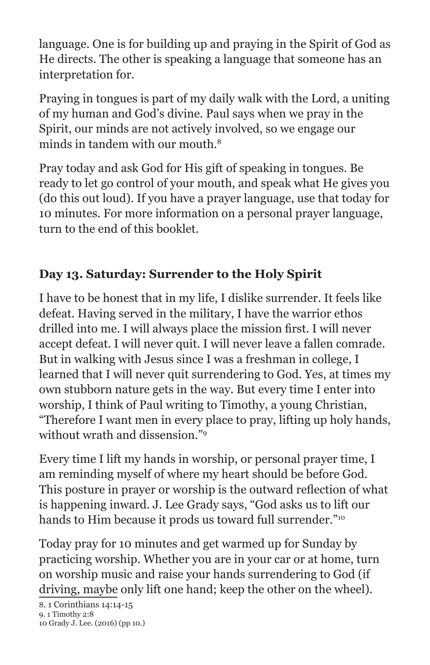language. One is for building up and praying in the Spirit of God as He directs. The other is speaking a language that someone has an interpretation for.

Praying in tongues is part of my daily walk with the Lord, a uniting of my human and God's divine. Paul says when we pray in the Spirit, our minds are not actively involved, so we engage our minds in tandem with our mouth  $8$ 

Pray today and ask God for His gift of speaking in tongues. Be ready to let go control of your mouth, and speak what He gives you (do this out loud). If you have a prayer language, use that today for 10 minutes. For more information on a personal prayer language, turn to the end of this booklet.

## **Day 13. Saturday: Surrender to the Holy Spirit**

I have to be honest that in my life, I dislike surrender. It feels like defeat. Having served in the military, I have the warrior ethos drilled into me. I will always place the mission first. I will never accept defeat. I will never quit. I will never leave a fallen comrade. But in walking with Jesus since I was a freshman in college, I learned that I will never quit surrendering to God. Yes, at times my own stubborn nature gets in the way. But every time I enter into worship, I think of Paul writing to Timothy, a young Christian, "Therefore I want men in every place to pray, lifting up holy hands, without wrath and dissension."9

Every time I lift my hands in worship, or personal prayer time, I am reminding myself of where my heart should be before God. This posture in prayer or worship is the outward reflection of what is happening inward. J. Lee Grady says, "God asks us to lift our hands to Him because it prods us toward full surrender."10

Today pray for 10 minutes and get warmed up for Sunday by practicing worship. Whether you are in your car or at home, turn on worship music and raise your hands surrendering to God (if driving, maybe only lift one hand; keep the other on the wheel).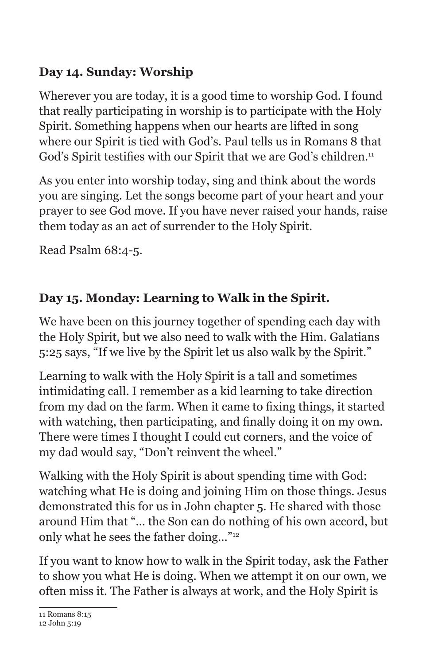## **Day 14. Sunday: Worship**

Wherever you are today, it is a good time to worship God. I found that really participating in worship is to participate with the Holy Spirit. Something happens when our hearts are lifted in song where our Spirit is tied with God's. Paul tells us in Romans 8 that God's Spirit testifies with our Spirit that we are God's children.<sup>11</sup>

As you enter into worship today, sing and think about the words you are singing. Let the songs become part of your heart and your prayer to see God move. If you have never raised your hands, raise them today as an act of surrender to the Holy Spirit.

Read Psalm 68:4-5.

## **Day 15. Monday: Learning to Walk in the Spirit.**

We have been on this journey together of spending each day with the Holy Spirit, but we also need to walk with the Him. Galatians 5:25 says, "If we live by the Spirit let us also walk by the Spirit."

Learning to walk with the Holy Spirit is a tall and sometimes intimidating call. I remember as a kid learning to take direction from my dad on the farm. When it came to fixing things, it started with watching, then participating, and finally doing it on my own. There were times I thought I could cut corners, and the voice of my dad would say, "Don't reinvent the wheel."

Walking with the Holy Spirit is about spending time with God: watching what He is doing and joining Him on those things. Jesus demonstrated this for us in John chapter 5. He shared with those around Him that "… the Son can do nothing of his own accord, but only what he sees the father doing..."12

If you want to know how to walk in the Spirit today, ask the Father to show you what He is doing. When we attempt it on our own, we often miss it. The Father is always at work, and the Holy Spirit is

11 Romans 8:15

<sup>12</sup> John 5:19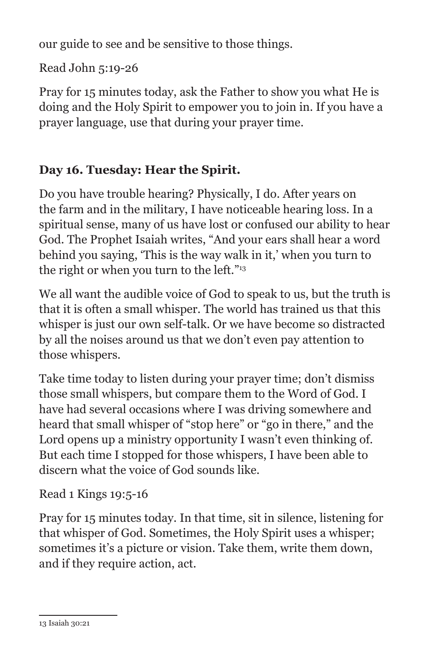our guide to see and be sensitive to those things.

Read John 5:19-26

Pray for 15 minutes today, ask the Father to show you what He is doing and the Holy Spirit to empower you to join in. If you have a prayer language, use that during your prayer time.

#### **Day 16. Tuesday: Hear the Spirit.**

Do you have trouble hearing? Physically, I do. After years on the farm and in the military, I have noticeable hearing loss. In a spiritual sense, many of us have lost or confused our ability to hear God. The Prophet Isaiah writes, "And your ears shall hear a word behind you saying, 'This is the way walk in it,' when you turn to the right or when you turn to the left."<sup>13</sup>

We all want the audible voice of God to speak to us, but the truth is that it is often a small whisper. The world has trained us that this whisper is just our own self-talk. Or we have become so distracted by all the noises around us that we don't even pay attention to those whispers.

Take time today to listen during your prayer time; don't dismiss those small whispers, but compare them to the Word of God. I have had several occasions where I was driving somewhere and heard that small whisper of "stop here" or "go in there," and the Lord opens up a ministry opportunity I wasn't even thinking of. But each time I stopped for those whispers, I have been able to discern what the voice of God sounds like.

#### Read 1 Kings 19:5-16

Pray for 15 minutes today. In that time, sit in silence, listening for that whisper of God. Sometimes, the Holy Spirit uses a whisper; sometimes it's a picture or vision. Take them, write them down, and if they require action, act.

<sup>13</sup> Isaiah 30:21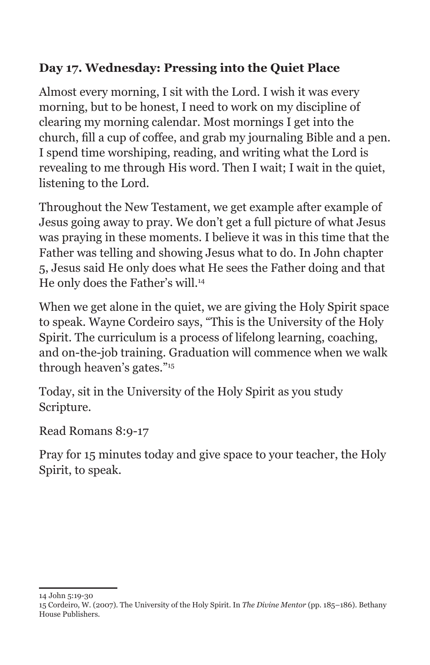## **Day 17. Wednesday: Pressing into the Quiet Place**

Almost every morning, I sit with the Lord. I wish it was every morning, but to be honest, I need to work on my discipline of clearing my morning calendar. Most mornings I get into the church, fill a cup of coffee, and grab my journaling Bible and a pen. I spend time worshiping, reading, and writing what the Lord is revealing to me through His word. Then I wait; I wait in the quiet, listening to the Lord.

Throughout the New Testament, we get example after example of Jesus going away to pray. We don't get a full picture of what Jesus was praying in these moments. I believe it was in this time that the Father was telling and showing Jesus what to do. In John chapter 5, Jesus said He only does what He sees the Father doing and that He only does the Father's will.14

When we get alone in the quiet, we are giving the Holy Spirit space to speak. Wayne Cordeiro says, "This is the University of the Holy Spirit. The curriculum is a process of lifelong learning, coaching, and on-the-job training. Graduation will commence when we walk through heaven's gates."15

Today, sit in the University of the Holy Spirit as you study Scripture.

Read Romans 8:9-17

Pray for 15 minutes today and give space to your teacher, the Holy Spirit, to speak.

<sup>14</sup> John 5:19-30

<sup>15</sup> Cordeiro, W. (2007). The University of the Holy Spirit. In *The Divine Mentor* (pp. 185–186). Bethany House Publishers.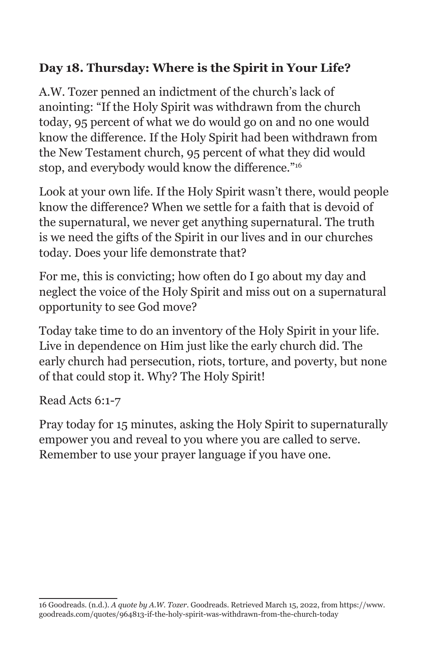#### **Day 18. Thursday: Where is the Spirit in Your Life?**

A.W. Tozer penned an indictment of the church's lack of anointing: "If the Holy Spirit was withdrawn from the church today, 95 percent of what we do would go on and no one would know the difference. If the Holy Spirit had been withdrawn from the New Testament church, 95 percent of what they did would stop, and everybody would know the difference."<sup>16</sup>

Look at your own life. If the Holy Spirit wasn't there, would people know the difference? When we settle for a faith that is devoid of the supernatural, we never get anything supernatural. The truth is we need the gifts of the Spirit in our lives and in our churches today. Does your life demonstrate that?

For me, this is convicting; how often do I go about my day and neglect the voice of the Holy Spirit and miss out on a supernatural opportunity to see God move?

Today take time to do an inventory of the Holy Spirit in your life. Live in dependence on Him just like the early church did. The early church had persecution, riots, torture, and poverty, but none of that could stop it. Why? The Holy Spirit!

#### Read Acts 6:1-7

Pray today for 15 minutes, asking the Holy Spirit to supernaturally empower you and reveal to you where you are called to serve. Remember to use your prayer language if you have one.

<sup>16</sup> Goodreads. (n.d.). *A quote by A.W. Tozer*. Goodreads. Retrieved March 15, 2022, from https://www. goodreads.com/quotes/964813-if-the-holy-spirit-was-withdrawn-from-the-church-today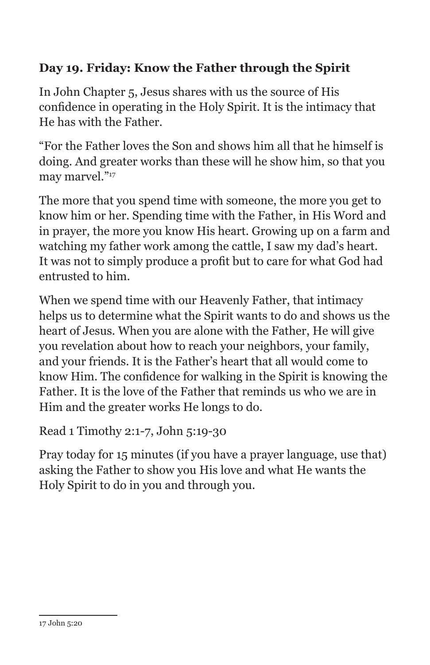#### **Day 19. Friday: Know the Father through the Spirit**

In John Chapter 5, Jesus shares with us the source of His confidence in operating in the Holy Spirit. It is the intimacy that He has with the Father.

"For the Father loves the Son and shows him all that he himself is doing. And greater works than these will he show him, so that you may marvel."<sup>17</sup>

The more that you spend time with someone, the more you get to know him or her. Spending time with the Father, in His Word and in prayer, the more you know His heart. Growing up on a farm and watching my father work among the cattle, I saw my dad's heart. It was not to simply produce a profit but to care for what God had entrusted to him.

When we spend time with our Heavenly Father, that intimacy helps us to determine what the Spirit wants to do and shows us the heart of Jesus. When you are alone with the Father, He will give you revelation about how to reach your neighbors, your family, and your friends. It is the Father's heart that all would come to know Him. The confidence for walking in the Spirit is knowing the Father. It is the love of the Father that reminds us who we are in Him and the greater works He longs to do.

Read 1 Timothy 2:1-7, John 5:19-30

Pray today for 15 minutes (if you have a prayer language, use that) asking the Father to show you His love and what He wants the Holy Spirit to do in you and through you.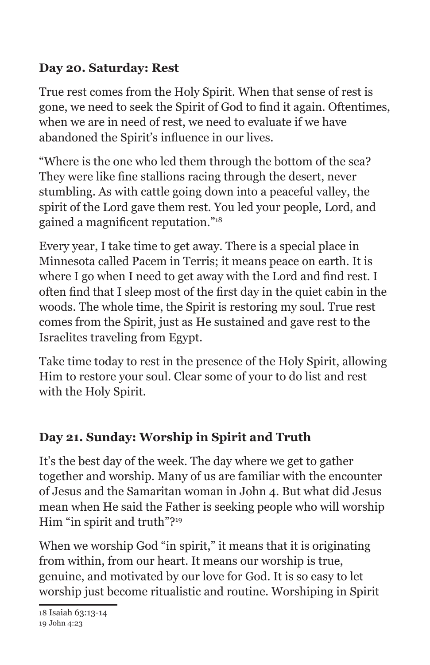#### **Day 20. Saturday: Rest**

True rest comes from the Holy Spirit. When that sense of rest is gone, we need to seek the Spirit of God to find it again. Oftentimes, when we are in need of rest, we need to evaluate if we have abandoned the Spirit's influence in our lives.

"Where is the one who led them through the bottom of the sea? They were like fine stallions racing through the desert, never stumbling. As with cattle going down into a peaceful valley, the spirit of the Lord gave them rest. You led your people, Lord, and gained a magnificent reputation."<sup>18</sup>

Every year, I take time to get away. There is a special place in Minnesota called Pacem in Terris; it means peace on earth. It is where I go when I need to get away with the Lord and find rest. I often find that I sleep most of the first day in the quiet cabin in the woods. The whole time, the Spirit is restoring my soul. True rest comes from the Spirit, just as He sustained and gave rest to the Israelites traveling from Egypt.

Take time today to rest in the presence of the Holy Spirit, allowing Him to restore your soul. Clear some of your to do list and rest with the Holy Spirit.

## **Day 21. Sunday: Worship in Spirit and Truth**

It's the best day of the week. The day where we get to gather together and worship. Many of us are familiar with the encounter of Jesus and the Samaritan woman in John 4. But what did Jesus mean when He said the Father is seeking people who will worship Him "in spirit and truth"?<sup>19</sup>

When we worship God "in spirit," it means that it is originating from within, from our heart. It means our worship is true, genuine, and motivated by our love for God. It is so easy to let worship just become ritualistic and routine. Worshiping in Spirit

<sup>18</sup> Isaiah 63:13-14

<sup>19</sup> John 4:23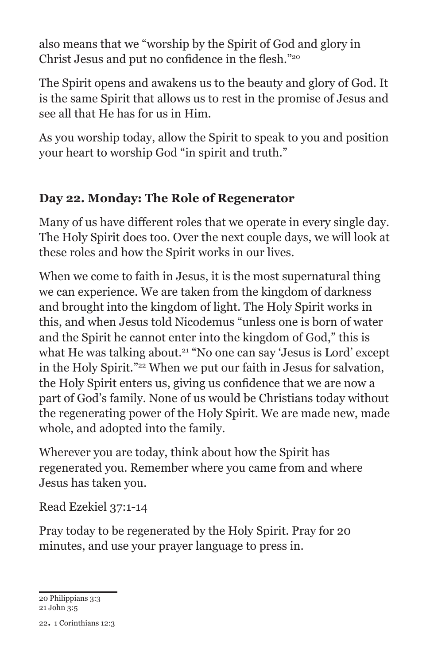also means that we "worship by the Spirit of God and glory in Christ Jesus and put no confidence in the flesh."<sup>20</sup>

The Spirit opens and awakens us to the beauty and glory of God. It is the same Spirit that allows us to rest in the promise of Jesus and see all that He has for us in Him.

As you worship today, allow the Spirit to speak to you and position your heart to worship God "in spirit and truth."

#### **Day 22. Monday: The Role of Regenerator**

Many of us have different roles that we operate in every single day. The Holy Spirit does too. Over the next couple days, we will look at these roles and how the Spirit works in our lives.

When we come to faith in Jesus, it is the most supernatural thing we can experience. We are taken from the kingdom of darkness and brought into the kingdom of light. The Holy Spirit works in this, and when Jesus told Nicodemus "unless one is born of water and the Spirit he cannot enter into the kingdom of God," this is what He was talking about.<sup>21</sup> "No one can say 'Jesus is Lord' except in the Holy Spirit."22 When we put our faith in Jesus for salvation, the Holy Spirit enters us, giving us confidence that we are now a part of God's family. None of us would be Christians today without the regenerating power of the Holy Spirit. We are made new, made whole, and adopted into the family.

Wherever you are today, think about how the Spirit has regenerated you. Remember where you came from and where Jesus has taken you.

Read Ezekiel 37:1-14

Pray today to be regenerated by the Holy Spirit. Pray for 20 minutes, and use your prayer language to press in.

20 Philippians 3:3 21 John 3:5

22. 1 Corinthians 12:3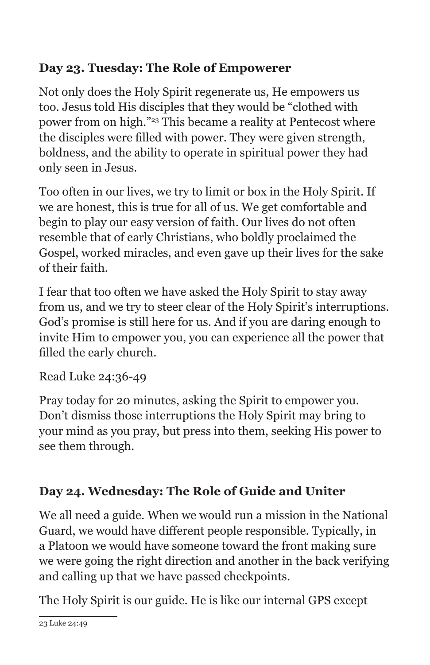## **Day 23. Tuesday: The Role of Empowerer**

Not only does the Holy Spirit regenerate us, He empowers us too. Jesus told His disciples that they would be "clothed with power from on high."23 This became a reality at Pentecost where the disciples were filled with power. They were given strength, boldness, and the ability to operate in spiritual power they had only seen in Jesus.

Too often in our lives, we try to limit or box in the Holy Spirit. If we are honest, this is true for all of us. We get comfortable and begin to play our easy version of faith. Our lives do not often resemble that of early Christians, who boldly proclaimed the Gospel, worked miracles, and even gave up their lives for the sake of their faith.

I fear that too often we have asked the Holy Spirit to stay away from us, and we try to steer clear of the Holy Spirit's interruptions. God's promise is still here for us. And if you are daring enough to invite Him to empower you, you can experience all the power that filled the early church.

Read Luke 24:36-49

Pray today for 20 minutes, asking the Spirit to empower you. Don't dismiss those interruptions the Holy Spirit may bring to your mind as you pray, but press into them, seeking His power to see them through.

# **Day 24. Wednesday: The Role of Guide and Uniter**

We all need a guide. When we would run a mission in the National Guard, we would have different people responsible. Typically, in a Platoon we would have someone toward the front making sure we were going the right direction and another in the back verifying and calling up that we have passed checkpoints.

The Holy Spirit is our guide. He is like our internal GPS except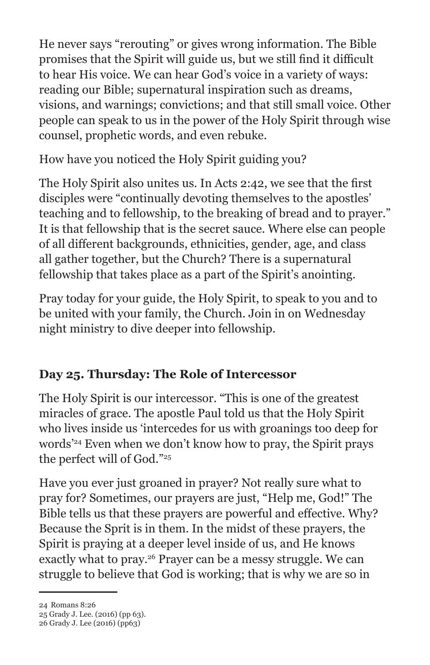He never says "rerouting" or gives wrong information. The Bible promises that the Spirit will guide us, but we still find it difficult to hear His voice. We can hear God's voice in a variety of ways: reading our Bible; supernatural inspiration such as dreams, visions, and warnings; convictions; and that still small voice. Other people can speak to us in the power of the Holy Spirit through wise counsel, prophetic words, and even rebuke.

How have you noticed the Holy Spirit guiding you?

The Holy Spirit also unites us. In Acts 2:42, we see that the first disciples were "continually devoting themselves to the apostles' teaching and to fellowship, to the breaking of bread and to prayer." It is that fellowship that is the secret sauce. Where else can people of all different backgrounds, ethnicities, gender, age, and class all gather together, but the Church? There is a supernatural fellowship that takes place as a part of the Spirit's anointing.

Pray today for your guide, the Holy Spirit, to speak to you and to be united with your family, the Church. Join in on Wednesday night ministry to dive deeper into fellowship.

## **Day 25. Thursday: The Role of Intercessor**

The Holy Spirit is our intercessor. "This is one of the greatest miracles of grace. The apostle Paul told us that the Holy Spirit who lives inside us 'intercedes for us with groanings too deep for words'24 Even when we don't know how to pray, the Spirit prays the perfect will of God."25

Have you ever just groaned in prayer? Not really sure what to pray for? Sometimes, our prayers are just, "Help me, God!" The Bible tells us that these prayers are powerful and effective. Why? Because the Sprit is in them. In the midst of these prayers, the Spirit is praying at a deeper level inside of us, and He knows exactly what to pray.<sup>26</sup> Prayer can be a messy struggle. We can struggle to believe that God is working; that is why we are so in

25 Grady J. Lee. (2016) (pp 63).

<sup>24</sup> Romans 8:26

<sup>26</sup> Grady J. Lee (2016) (pp63)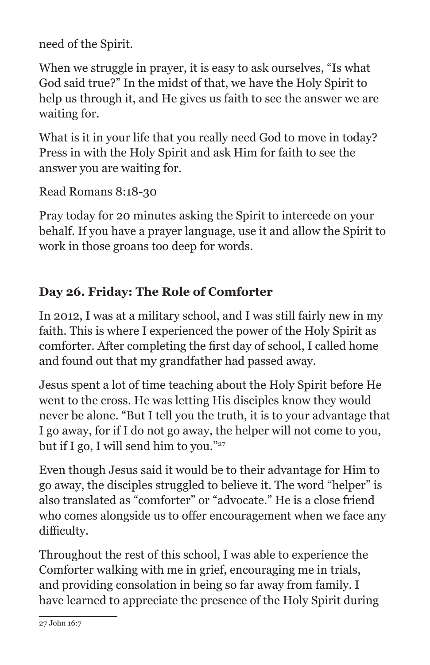need of the Spirit.

When we struggle in prayer, it is easy to ask ourselves, "Is what God said true?" In the midst of that, we have the Holy Spirit to help us through it, and He gives us faith to see the answer we are waiting for.

What is it in your life that you really need God to move in today? Press in with the Holy Spirit and ask Him for faith to see the answer you are waiting for.

Read Romans 8:18-30

Pray today for 20 minutes asking the Spirit to intercede on your behalf. If you have a prayer language, use it and allow the Spirit to work in those groans too deep for words.

# **Day 26. Friday: The Role of Comforter**

In 2012, I was at a military school, and I was still fairly new in my faith. This is where I experienced the power of the Holy Spirit as comforter. After completing the first day of school, I called home and found out that my grandfather had passed away.

Jesus spent a lot of time teaching about the Holy Spirit before He went to the cross. He was letting His disciples know they would never be alone. "But I tell you the truth, it is to your advantage that I go away, for if I do not go away, the helper will not come to you, but if I go, I will send him to you."27

Even though Jesus said it would be to their advantage for Him to go away, the disciples struggled to believe it. The word "helper" is also translated as "comforter" or "advocate." He is a close friend who comes alongside us to offer encouragement when we face any difficulty.

Throughout the rest of this school, I was able to experience the Comforter walking with me in grief, encouraging me in trials, and providing consolation in being so far away from family. I have learned to appreciate the presence of the Holy Spirit during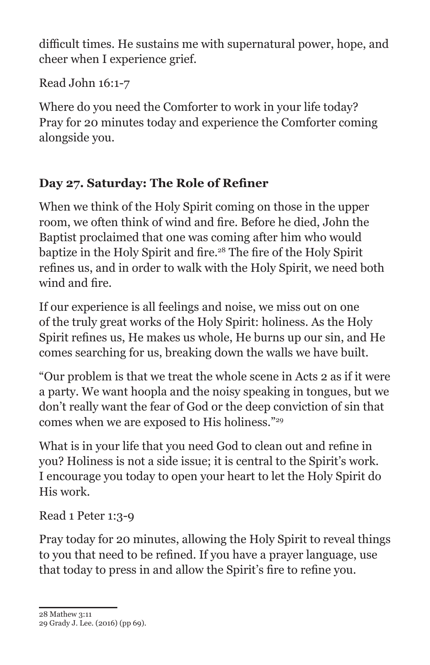difficult times. He sustains me with supernatural power, hope, and cheer when I experience grief.

Read John 16:1-7

Where do you need the Comforter to work in your life today? Pray for 20 minutes today and experience the Comforter coming alongside you.

## **Day 27. Saturday: The Role of Refiner**

When we think of the Holy Spirit coming on those in the upper room, we often think of wind and fire. Before he died, John the Baptist proclaimed that one was coming after him who would baptize in the Holy Spirit and fire.<sup>28</sup> The fire of the Holy Spirit refines us, and in order to walk with the Holy Spirit, we need both wind and fire.

If our experience is all feelings and noise, we miss out on one of the truly great works of the Holy Spirit: holiness. As the Holy Spirit refines us, He makes us whole, He burns up our sin, and He comes searching for us, breaking down the walls we have built.

"Our problem is that we treat the whole scene in Acts 2 as if it were a party. We want hoopla and the noisy speaking in tongues, but we don't really want the fear of God or the deep conviction of sin that comes when we are exposed to His holiness."29

What is in your life that you need God to clean out and refine in you? Holiness is not a side issue; it is central to the Spirit's work. I encourage you today to open your heart to let the Holy Spirit do His work.

Read 1 Peter 1:3-9

Pray today for 20 minutes, allowing the Holy Spirit to reveal things to you that need to be refined. If you have a prayer language, use that today to press in and allow the Spirit's fire to refine you.

<sup>28</sup> Mathew 3:11

<sup>29</sup> Grady J. Lee. (2016) (pp 69).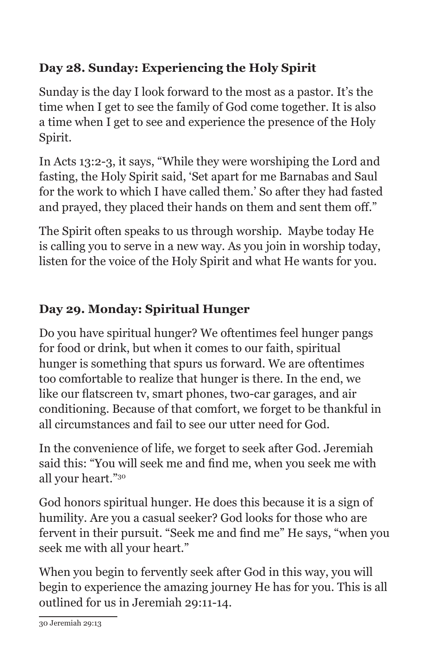## **Day 28. Sunday: Experiencing the Holy Spirit**

Sunday is the day I look forward to the most as a pastor. It's the time when I get to see the family of God come together. It is also a time when I get to see and experience the presence of the Holy Spirit.

In Acts 13:2-3, it says, "While they were worshiping the Lord and fasting, the Holy Spirit said, 'Set apart for me Barnabas and Saul for the work to which I have called them.' So after they had fasted and prayed, they placed their hands on them and sent them off."

The Spirit often speaks to us through worship. Maybe today He is calling you to serve in a new way. As you join in worship today, listen for the voice of the Holy Spirit and what He wants for you.

# **Day 29. Monday: Spiritual Hunger**

Do you have spiritual hunger? We oftentimes feel hunger pangs for food or drink, but when it comes to our faith, spiritual hunger is something that spurs us forward. We are oftentimes too comfortable to realize that hunger is there. In the end, we like our flatscreen tv, smart phones, two-car garages, and air conditioning. Because of that comfort, we forget to be thankful in all circumstances and fail to see our utter need for God.

In the convenience of life, we forget to seek after God. Jeremiah said this: "You will seek me and find me, when you seek me with all your heart."30

God honors spiritual hunger. He does this because it is a sign of humility. Are you a casual seeker? God looks for those who are fervent in their pursuit. "Seek me and find me" He says, "when you seek me with all your heart."

When you begin to fervently seek after God in this way, you will begin to experience the amazing journey He has for you. This is all outlined for us in Jeremiah 29:11-14.

<sup>30</sup> Jeremiah 29:13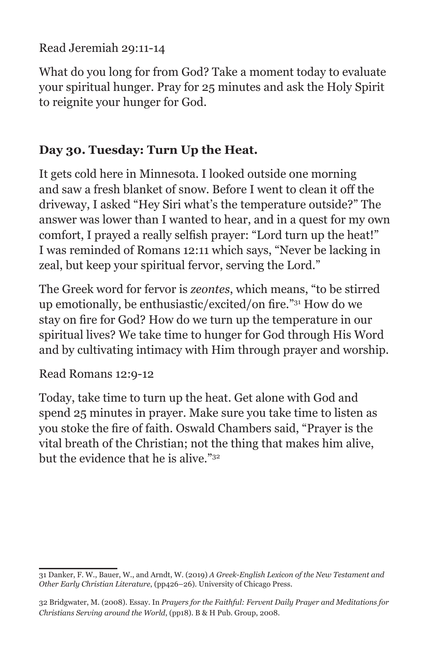Read Jeremiah 29:11-14

What do you long for from God? Take a moment today to evaluate your spiritual hunger. Pray for 25 minutes and ask the Holy Spirit to reignite your hunger for God.

#### **Day 30. Tuesday: Turn Up the Heat.**

It gets cold here in Minnesota. I looked outside one morning and saw a fresh blanket of snow. Before I went to clean it off the driveway, I asked "Hey Siri what's the temperature outside?" The answer was lower than I wanted to hear, and in a quest for my own comfort, I prayed a really selfish prayer: "Lord turn up the heat!" I was reminded of Romans 12:11 which says, "Never be lacking in zeal, but keep your spiritual fervor, serving the Lord."

The Greek word for fervor is *zeontes*, which means, "to be stirred up emotionally, be enthusiastic/excited/on fire."31 How do we stay on fire for God? How do we turn up the temperature in our spiritual lives? We take time to hunger for God through His Word and by cultivating intimacy with Him through prayer and worship.

Read Romans 12:9-12

Today, take time to turn up the heat. Get alone with God and spend 25 minutes in prayer. Make sure you take time to listen as you stoke the fire of faith. Oswald Chambers said, "Prayer is the vital breath of the Christian; not the thing that makes him alive, but the evidence that he is alive."32

<sup>31</sup> Danker, F. W., Bauer, W., and Arndt, W. (2019) *A Greek-English Lexicon of the New Testament and Other Early Christian Literature*, (pp426–26). University of Chicago Press.

<sup>32</sup> Bridgwater, M. (2008). Essay. In *Prayers for the Faithful: Fervent Daily Prayer and Meditations for Christians Serving around the World*, (pp18). B & H Pub. Group, 2008.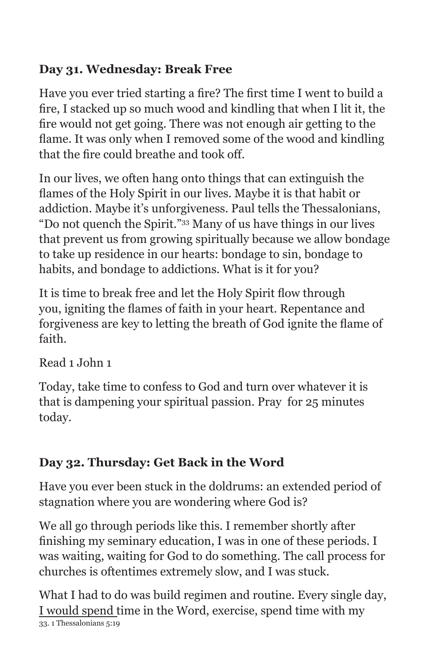## **Day 31. Wednesday: Break Free**

Have you ever tried starting a fire? The first time I went to build a fire, I stacked up so much wood and kindling that when I lit it, the fire would not get going. There was not enough air getting to the flame. It was only when I removed some of the wood and kindling that the fire could breathe and took off.

In our lives, we often hang onto things that can extinguish the flames of the Holy Spirit in our lives. Maybe it is that habit or addiction. Maybe it's unforgiveness. Paul tells the Thessalonians, "Do not quench the Spirit."33 Many of us have things in our lives that prevent us from growing spiritually because we allow bondage to take up residence in our hearts: bondage to sin, bondage to habits, and bondage to addictions. What is it for you?

It is time to break free and let the Holy Spirit flow through you, igniting the flames of faith in your heart. Repentance and forgiveness are key to letting the breath of God ignite the flame of faith.

Read 1 John 1

Today, take time to confess to God and turn over whatever it is that is dampening your spiritual passion. Pray for 25 minutes today.

## **Day 32. Thursday: Get Back in the Word**

Have you ever been stuck in the doldrums: an extended period of stagnation where you are wondering where God is?

We all go through periods like this. I remember shortly after finishing my seminary education, I was in one of these periods. I was waiting, waiting for God to do something. The call process for churches is oftentimes extremely slow, and I was stuck.

What I had to do was build regimen and routine. Every single day, I would spend time in the Word, exercise, spend time with my 33. 1 Thessalonians 5:19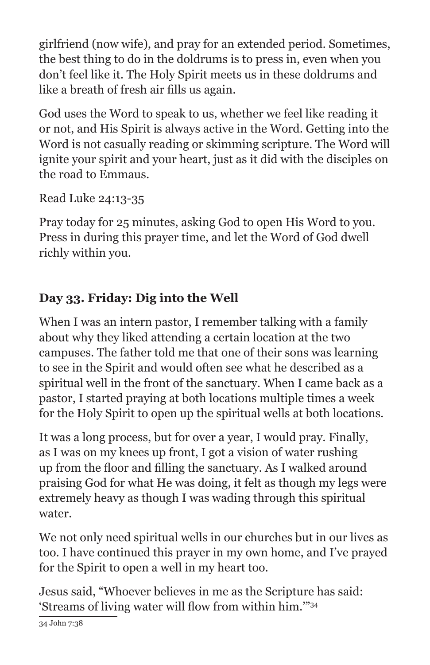girlfriend (now wife), and pray for an extended period. Sometimes, the best thing to do in the doldrums is to press in, even when you don't feel like it. The Holy Spirit meets us in these doldrums and like a breath of fresh air fills us again.

God uses the Word to speak to us, whether we feel like reading it or not, and His Spirit is always active in the Word. Getting into the Word is not casually reading or skimming scripture. The Word will ignite your spirit and your heart, just as it did with the disciples on the road to Emmaus.

Read Luke 24:13-35

Pray today for 25 minutes, asking God to open His Word to you. Press in during this prayer time, and let the Word of God dwell richly within you.

## **Day 33. Friday: Dig into the Well**

When I was an intern pastor, I remember talking with a family about why they liked attending a certain location at the two campuses. The father told me that one of their sons was learning to see in the Spirit and would often see what he described as a spiritual well in the front of the sanctuary. When I came back as a pastor, I started praying at both locations multiple times a week for the Holy Spirit to open up the spiritual wells at both locations.

It was a long process, but for over a year, I would pray. Finally, as I was on my knees up front, I got a vision of water rushing up from the floor and filling the sanctuary. As I walked around praising God for what He was doing, it felt as though my legs were extremely heavy as though I was wading through this spiritual water.

We not only need spiritual wells in our churches but in our lives as too. I have continued this prayer in my own home, and I've prayed for the Spirit to open a well in my heart too.

Jesus said, "Whoever believes in me as the Scripture has said: 'Streams of living water will flow from within him.'"<sup>34</sup>

34 John 7:38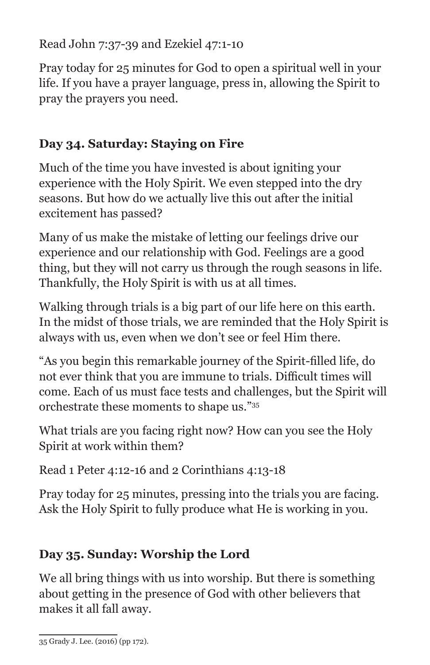Read John 7:37-39 and Ezekiel 47:1-10

Pray today for 25 minutes for God to open a spiritual well in your life. If you have a prayer language, press in, allowing the Spirit to pray the prayers you need.

#### **Day 34. Saturday: Staying on Fire**

Much of the time you have invested is about igniting your experience with the Holy Spirit. We even stepped into the dry seasons. But how do we actually live this out after the initial excitement has passed?

Many of us make the mistake of letting our feelings drive our experience and our relationship with God. Feelings are a good thing, but they will not carry us through the rough seasons in life. Thankfully, the Holy Spirit is with us at all times.

Walking through trials is a big part of our life here on this earth. In the midst of those trials, we are reminded that the Holy Spirit is always with us, even when we don't see or feel Him there.

"As you begin this remarkable journey of the Spirit-filled life, do not ever think that you are immune to trials. Difficult times will come. Each of us must face tests and challenges, but the Spirit will orchestrate these moments to shape us."35

What trials are you facing right now? How can you see the Holy Spirit at work within them?

Read 1 Peter 4:12-16 and 2 Corinthians 4:13-18

Pray today for 25 minutes, pressing into the trials you are facing. Ask the Holy Spirit to fully produce what He is working in you.

# **Day 35. Sunday: Worship the Lord**

We all bring things with us into worship. But there is something about getting in the presence of God with other believers that makes it all fall away.

<sup>35</sup> Grady J. Lee. (2016) (pp 172).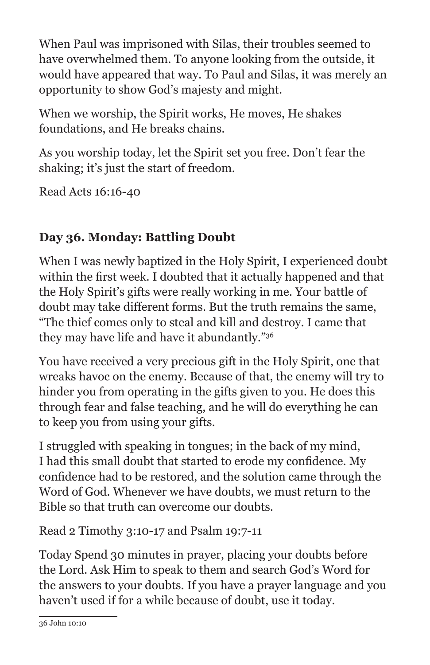When Paul was imprisoned with Silas, their troubles seemed to have overwhelmed them. To anyone looking from the outside, it would have appeared that way. To Paul and Silas, it was merely an opportunity to show God's majesty and might.

When we worship, the Spirit works, He moves, He shakes foundations, and He breaks chains.

As you worship today, let the Spirit set you free. Don't fear the shaking; it's just the start of freedom.

Read Acts 16:16-40

# **Day 36. Monday: Battling Doubt**

When I was newly baptized in the Holy Spirit, I experienced doubt within the first week. I doubted that it actually happened and that the Holy Spirit's gifts were really working in me. Your battle of doubt may take different forms. But the truth remains the same, "The thief comes only to steal and kill and destroy. I came that they may have life and have it abundantly."36

You have received a very precious gift in the Holy Spirit, one that wreaks havoc on the enemy. Because of that, the enemy will try to hinder you from operating in the gifts given to you. He does this through fear and false teaching, and he will do everything he can to keep you from using your gifts.

I struggled with speaking in tongues; in the back of my mind, I had this small doubt that started to erode my confidence. My confidence had to be restored, and the solution came through the Word of God. Whenever we have doubts, we must return to the Bible so that truth can overcome our doubts.

Read 2 Timothy 3:10-17 and Psalm 19:7-11

Today Spend 30 minutes in prayer, placing your doubts before the Lord. Ask Him to speak to them and search God's Word for the answers to your doubts. If you have a prayer language and you haven't used if for a while because of doubt, use it today.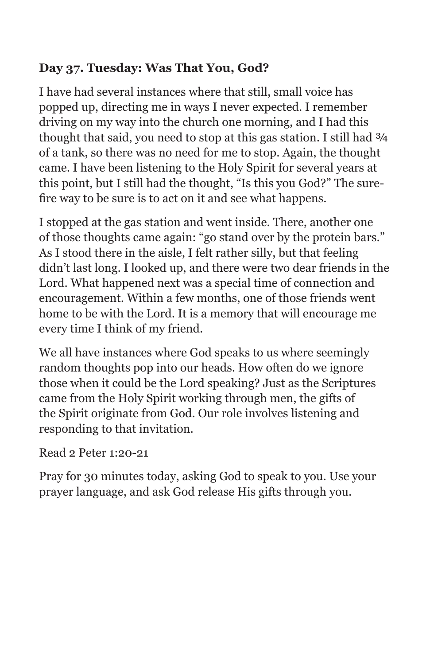#### **Day 37. Tuesday: Was That You, God?**

I have had several instances where that still, small voice has popped up, directing me in ways I never expected. I remember driving on my way into the church one morning, and I had this thought that said, you need to stop at this gas station. I still had  $\frac{3}{4}$ of a tank, so there was no need for me to stop. Again, the thought came. I have been listening to the Holy Spirit for several years at this point, but I still had the thought, "Is this you God?" The surefire way to be sure is to act on it and see what happens.

I stopped at the gas station and went inside. There, another one of those thoughts came again: "go stand over by the protein bars." As I stood there in the aisle, I felt rather silly, but that feeling didn't last long. I looked up, and there were two dear friends in the Lord. What happened next was a special time of connection and encouragement. Within a few months, one of those friends went home to be with the Lord. It is a memory that will encourage me every time I think of my friend.

We all have instances where God speaks to us where seemingly random thoughts pop into our heads. How often do we ignore those when it could be the Lord speaking? Just as the Scriptures came from the Holy Spirit working through men, the gifts of the Spirit originate from God. Our role involves listening and responding to that invitation.

#### Read 2 Peter 1:20-21

Pray for 30 minutes today, asking God to speak to you. Use your prayer language, and ask God release His gifts through you.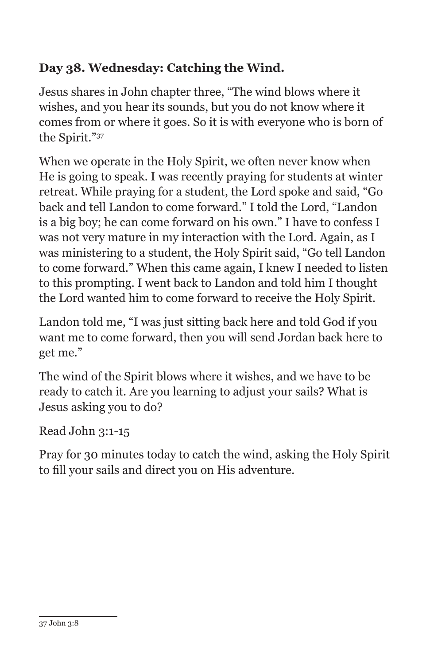## **Day 38. Wednesday: Catching the Wind.**

Jesus shares in John chapter three, "The wind blows where it wishes, and you hear its sounds, but you do not know where it comes from or where it goes. So it is with everyone who is born of the Spirit."37

When we operate in the Holy Spirit, we often never know when He is going to speak. I was recently praying for students at winter retreat. While praying for a student, the Lord spoke and said, "Go back and tell Landon to come forward." I told the Lord, "Landon is a big boy; he can come forward on his own." I have to confess I was not very mature in my interaction with the Lord. Again, as I was ministering to a student, the Holy Spirit said, "Go tell Landon to come forward." When this came again, I knew I needed to listen to this prompting. I went back to Landon and told him I thought the Lord wanted him to come forward to receive the Holy Spirit.

Landon told me, "I was just sitting back here and told God if you want me to come forward, then you will send Jordan back here to get me."

The wind of the Spirit blows where it wishes, and we have to be ready to catch it. Are you learning to adjust your sails? What is Jesus asking you to do?

Read John 3:1-15

Pray for 30 minutes today to catch the wind, asking the Holy Spirit to fill your sails and direct you on His adventure.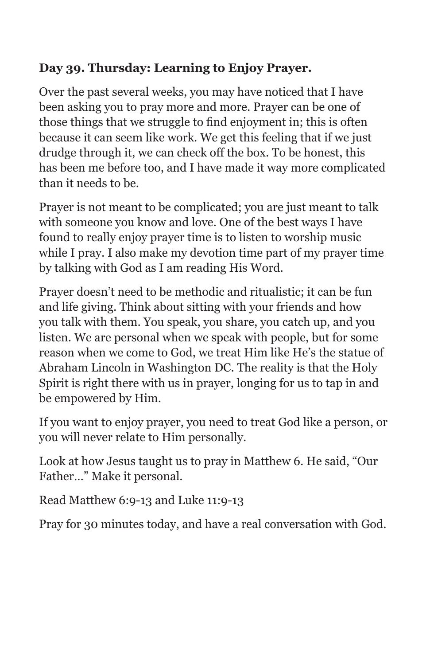#### **Day 39. Thursday: Learning to Enjoy Prayer.**

Over the past several weeks, you may have noticed that I have been asking you to pray more and more. Prayer can be one of those things that we struggle to find enjoyment in; this is often because it can seem like work. We get this feeling that if we just drudge through it, we can check off the box. To be honest, this has been me before too, and I have made it way more complicated than it needs to be.

Prayer is not meant to be complicated; you are just meant to talk with someone you know and love. One of the best ways I have found to really enjoy prayer time is to listen to worship music while I pray. I also make my devotion time part of my prayer time by talking with God as I am reading His Word.

Prayer doesn't need to be methodic and ritualistic; it can be fun and life giving. Think about sitting with your friends and how you talk with them. You speak, you share, you catch up, and you listen. We are personal when we speak with people, but for some reason when we come to God, we treat Him like He's the statue of Abraham Lincoln in Washington DC. The reality is that the Holy Spirit is right there with us in prayer, longing for us to tap in and be empowered by Him.

If you want to enjoy prayer, you need to treat God like a person, or you will never relate to Him personally.

Look at how Jesus taught us to pray in Matthew 6. He said, "Our Father…" Make it personal.

Read Matthew 6:9-13 and Luke 11:9-13

Pray for 30 minutes today, and have a real conversation with God.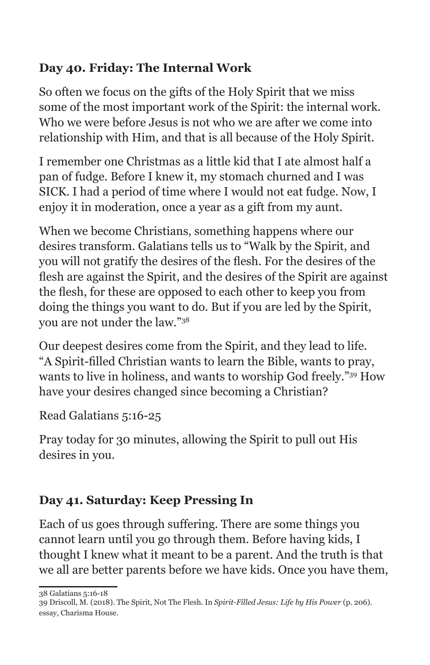## **Day 40. Friday: The Internal Work**

So often we focus on the gifts of the Holy Spirit that we miss some of the most important work of the Spirit: the internal work. Who we were before Jesus is not who we are after we come into relationship with Him, and that is all because of the Holy Spirit.

I remember one Christmas as a little kid that I ate almost half a pan of fudge. Before I knew it, my stomach churned and I was SICK. I had a period of time where I would not eat fudge. Now, I enjoy it in moderation, once a year as a gift from my aunt.

When we become Christians, something happens where our desires transform. Galatians tells us to "Walk by the Spirit, and you will not gratify the desires of the flesh. For the desires of the flesh are against the Spirit, and the desires of the Spirit are against the flesh, for these are opposed to each other to keep you from doing the things you want to do. But if you are led by the Spirit, you are not under the law."38

Our deepest desires come from the Spirit, and they lead to life. "A Spirit-filled Christian wants to learn the Bible, wants to pray, wants to live in holiness, and wants to worship God freely."39 How have your desires changed since becoming a Christian?

Read Galatians 5:16-25

Pray today for 30 minutes, allowing the Spirit to pull out His desires in you.

# **Day 41. Saturday: Keep Pressing In**

Each of us goes through suffering. There are some things you cannot learn until you go through them. Before having kids, I thought I knew what it meant to be a parent. And the truth is that we all are better parents before we have kids. Once you have them,

38 Galatians 5:16-18

<sup>39</sup> Driscoll, M. (2018). The Spirit, Not The Flesh. In *Spirit-Filled Jesus: Life by His Power* (p. 206). essay, Charisma House.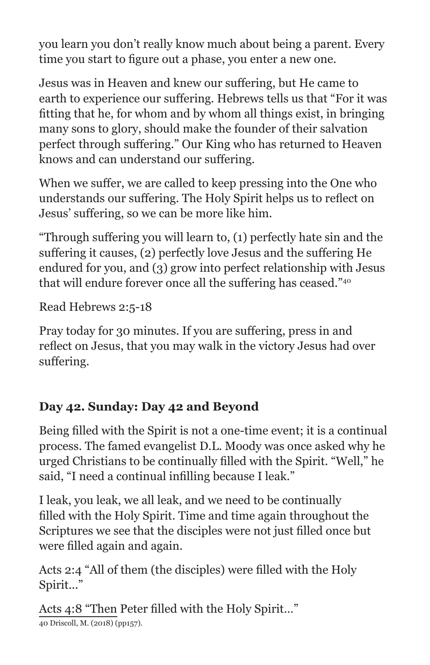you learn you don't really know much about being a parent. Every time you start to figure out a phase, you enter a new one.

Jesus was in Heaven and knew our suffering, but He came to earth to experience our suffering. Hebrews tells us that "For it was fitting that he, for whom and by whom all things exist, in bringing many sons to glory, should make the founder of their salvation perfect through suffering." Our King who has returned to Heaven knows and can understand our suffering.

When we suffer, we are called to keep pressing into the One who understands our suffering. The Holy Spirit helps us to reflect on Jesus' suffering, so we can be more like him.

"Through suffering you will learn to, (1) perfectly hate sin and the suffering it causes, (2) perfectly love Jesus and the suffering He endured for you, and (3) grow into perfect relationship with Jesus that will endure forever once all the suffering has ceased."<sup>40</sup>

Read Hebrews 2:5-18

Pray today for 30 minutes. If you are suffering, press in and reflect on Jesus, that you may walk in the victory Jesus had over suffering.

#### **Day 42. Sunday: Day 42 and Beyond**

Being filled with the Spirit is not a one-time event; it is a continual process. The famed evangelist D.L. Moody was once asked why he urged Christians to be continually filled with the Spirit. "Well," he said, "I need a continual infilling because I leak."

I leak, you leak, we all leak, and we need to be continually filled with the Holy Spirit. Time and time again throughout the Scriptures we see that the disciples were not just filled once but were filled again and again.

Acts 2:4 "All of them (the disciples) were filled with the Holy Spirit..."

Acts 4:8 "Then Peter filled with the Holy Spirit…" 40 Driscoll, M. (2018) (pp157).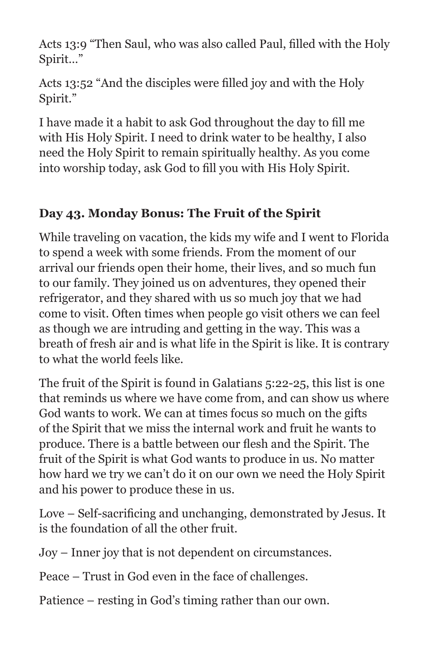Acts 13:9 "Then Saul, who was also called Paul, filled with the Holy Spirit…"

Acts 13:52 "And the disciples were filled joy and with the Holy Spirit."

I have made it a habit to ask God throughout the day to fill me with His Holy Spirit. I need to drink water to be healthy, I also need the Holy Spirit to remain spiritually healthy. As you come into worship today, ask God to fill you with His Holy Spirit.

#### **Day 43. Monday Bonus: The Fruit of the Spirit**

While traveling on vacation, the kids my wife and I went to Florida to spend a week with some friends. From the moment of our arrival our friends open their home, their lives, and so much fun to our family. They joined us on adventures, they opened their refrigerator, and they shared with us so much joy that we had come to visit. Often times when people go visit others we can feel as though we are intruding and getting in the way. This was a breath of fresh air and is what life in the Spirit is like. It is contrary to what the world feels like.

The fruit of the Spirit is found in Galatians 5:22-25, this list is one that reminds us where we have come from, and can show us where God wants to work. We can at times focus so much on the gifts of the Spirit that we miss the internal work and fruit he wants to produce. There is a battle between our flesh and the Spirit. The fruit of the Spirit is what God wants to produce in us. No matter how hard we try we can't do it on our own we need the Holy Spirit and his power to produce these in us.

Love – Self-sacrificing and unchanging, demonstrated by Jesus. It is the foundation of all the other fruit.

Joy – Inner joy that is not dependent on circumstances.

Peace – Trust in God even in the face of challenges.

Patience – resting in God's timing rather than our own.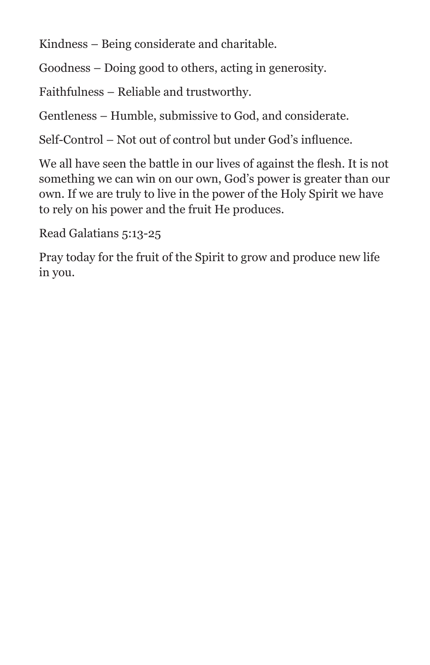Kindness – Being considerate and charitable.

Goodness – Doing good to others, acting in generosity.

Faithfulness – Reliable and trustworthy.

Gentleness – Humble, submissive to God, and considerate.

Self-Control – Not out of control but under God's influence.

We all have seen the battle in our lives of against the flesh. It is not something we can win on our own, God's power is greater than our own. If we are truly to live in the power of the Holy Spirit we have to rely on his power and the fruit He produces.

Read Galatians 5:13-25

Pray today for the fruit of the Spirit to grow and produce new life in you.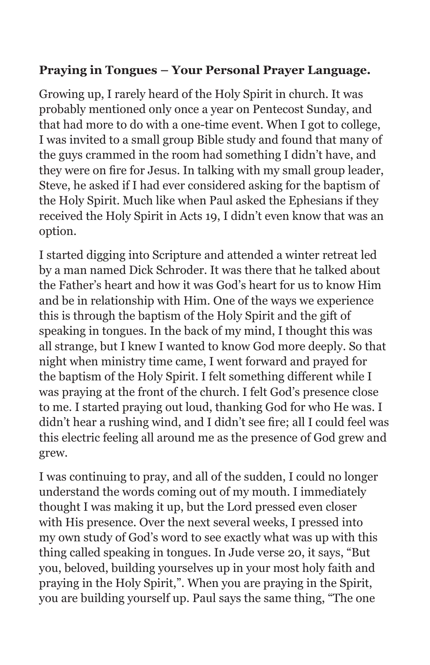#### **Praying in Tongues – Your Personal Prayer Language.**

Growing up, I rarely heard of the Holy Spirit in church. It was probably mentioned only once a year on Pentecost Sunday, and that had more to do with a one-time event. When I got to college, I was invited to a small group Bible study and found that many of the guys crammed in the room had something I didn't have, and they were on fire for Jesus. In talking with my small group leader, Steve, he asked if I had ever considered asking for the baptism of the Holy Spirit. Much like when Paul asked the Ephesians if they received the Holy Spirit in Acts 19, I didn't even know that was an option.

I started digging into Scripture and attended a winter retreat led by a man named Dick Schroder. It was there that he talked about the Father's heart and how it was God's heart for us to know Him and be in relationship with Him. One of the ways we experience this is through the baptism of the Holy Spirit and the gift of speaking in tongues. In the back of my mind, I thought this was all strange, but I knew I wanted to know God more deeply. So that night when ministry time came, I went forward and prayed for the baptism of the Holy Spirit. I felt something different while I was praying at the front of the church. I felt God's presence close to me. I started praying out loud, thanking God for who He was. I didn't hear a rushing wind, and I didn't see fire; all I could feel was this electric feeling all around me as the presence of God grew and grew.

I was continuing to pray, and all of the sudden, I could no longer understand the words coming out of my mouth. I immediately thought I was making it up, but the Lord pressed even closer with His presence. Over the next several weeks, I pressed into my own study of God's word to see exactly what was up with this thing called speaking in tongues. In Jude verse 20, it says, "But you, beloved, building yourselves up in your most holy faith and praying in the Holy Spirit,". When you are praying in the Spirit, you are building yourself up. Paul says the same thing, "The one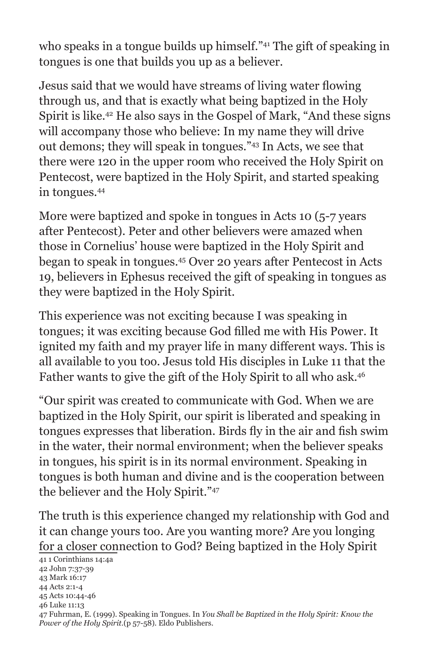who speaks in a tongue builds up himself."<sup>41</sup> The gift of speaking in tongues is one that builds you up as a believer.

Jesus said that we would have streams of living water flowing through us, and that is exactly what being baptized in the Holy Spirit is like.42 He also says in the Gospel of Mark, "And these signs will accompany those who believe: In my name they will drive out demons; they will speak in tongues."43 In Acts, we see that there were 120 in the upper room who received the Holy Spirit on Pentecost, were baptized in the Holy Spirit, and started speaking in tongues.44

More were baptized and spoke in tongues in Acts 10 (5-7 years after Pentecost). Peter and other believers were amazed when those in Cornelius' house were baptized in the Holy Spirit and began to speak in tongues.45 Over 20 years after Pentecost in Acts 19, believers in Ephesus received the gift of speaking in tongues as they were baptized in the Holy Spirit.

This experience was not exciting because I was speaking in tongues; it was exciting because God filled me with His Power. It ignited my faith and my prayer life in many different ways. This is all available to you too. Jesus told His disciples in Luke 11 that the Father wants to give the gift of the Holy Spirit to all who ask.46

"Our spirit was created to communicate with God. When we are baptized in the Holy Spirit, our spirit is liberated and speaking in tongues expresses that liberation. Birds fly in the air and fish swim in the water, their normal environment; when the believer speaks in tongues, his spirit is in its normal environment. Speaking in tongues is both human and divine and is the cooperation between the believer and the Holy Spirit."47

The truth is this experience changed my relationship with God and it can change yours too. Are you wanting more? Are you longing for a closer connection to God? Being baptized in the Holy Spirit

41 1 Corinthians 14:4a 42 John 7:37-39 43 Mark 16:17 44 Acts 2:1-4 45 Acts 10:44-46 46 Luke 11:13 47 Fuhrman, E. (1999). Speaking in Tongues. In *You Shall be Baptized in the Holy Spirit: Know the Power of the Holy Spirit.*(p 57-58). Eldo Publishers.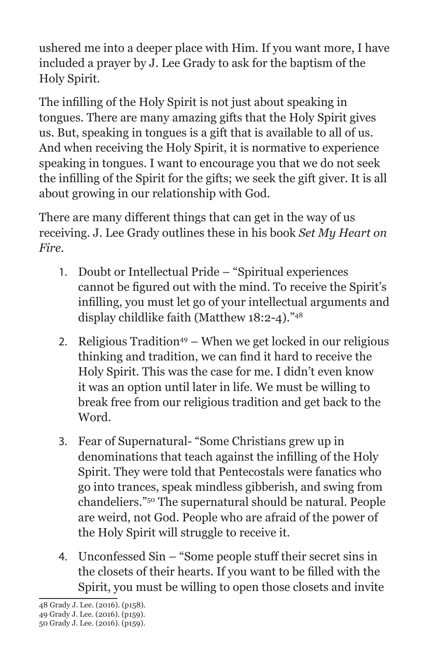ushered me into a deeper place with Him. If you want more, I have included a prayer by J. Lee Grady to ask for the baptism of the Holy Spirit.

The infilling of the Holy Spirit is not just about speaking in tongues. There are many amazing gifts that the Holy Spirit gives us. But, speaking in tongues is a gift that is available to all of us. And when receiving the Holy Spirit, it is normative to experience speaking in tongues. I want to encourage you that we do not seek the infilling of the Spirit for the gifts; we seek the gift giver. It is all about growing in our relationship with God.

There are many different things that can get in the way of us receiving. J. Lee Grady outlines these in his book *Set My Heart on Fire.*

- 1. Doubt or Intellectual Pride "Spiritual experiences cannot be figured out with the mind. To receive the Spirit's infilling, you must let go of your intellectual arguments and display childlike faith (Matthew 18:2-4)."48
- 2. Religious Tradition<sup>49</sup> When we get locked in our religious thinking and tradition, we can find it hard to receive the Holy Spirit. This was the case for me. I didn't even know it was an option until later in life. We must be willing to break free from our religious tradition and get back to the Word.
- 3. Fear of Supernatural- "Some Christians grew up in denominations that teach against the infilling of the Holy Spirit. They were told that Pentecostals were fanatics who go into trances, speak mindless gibberish, and swing from chandeliers."50 The supernatural should be natural. People are weird, not God. People who are afraid of the power of the Holy Spirit will struggle to receive it.
- 4. Unconfessed Sin "Some people stuff their secret sins in the closets of their hearts. If you want to be filled with the Spirit, you must be willing to open those closets and invite

<sup>48</sup> Grady J. Lee. (2016). (p158).

<sup>49</sup> Grady J. Lee. (2016). (p159).

<sup>50</sup> Grady J. Lee. (2016). (p159).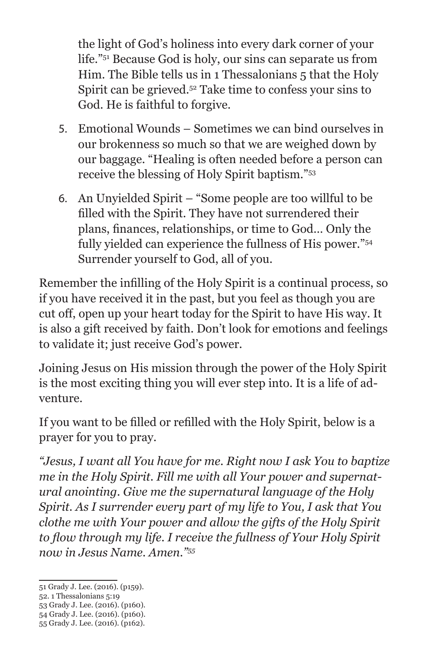the light of God's holiness into every dark corner of your life."51 Because God is holy, our sins can separate us from Him. The Bible tells us in 1 Thessalonians 5 that the Holy Spirit can be grieved.52 Take time to confess your sins to God. He is faithful to forgive.

- 5. Emotional Wounds Sometimes we can bind ourselves in our brokenness so much so that we are weighed down by our baggage. "Healing is often needed before a person can receive the blessing of Holy Spirit baptism."53
- 6. An Unyielded Spirit "Some people are too willful to be filled with the Spirit. They have not surrendered their plans, finances, relationships, or time to God… Only the fully yielded can experience the fullness of His power."54 Surrender yourself to God, all of you.

Remember the infilling of the Holy Spirit is a continual process, so if you have received it in the past, but you feel as though you are cut off, open up your heart today for the Spirit to have His way. It is also a gift received by faith. Don't look for emotions and feelings to validate it; just receive God's power.

Joining Jesus on His mission through the power of the Holy Spirit is the most exciting thing you will ever step into. It is a life of adventure.

If you want to be filled or refilled with the Holy Spirit, below is a prayer for you to pray.

*"Jesus, I want all You have for me. Right now I ask You to baptize me in the Holy Spirit. Fill me with all Your power and supernatural anointing. Give me the supernatural language of the Holy Spirit. As I surrender every part of my life to You, I ask that You clothe me with Your power and allow the gifts of the Holy Spirit to flow through my life. I receive the fullness of Your Holy Spirit now in Jesus Name. Amen."55*

- 52. 1 Thessalonians 5:19
- 53 Grady J. Lee. (2016). (p160).
- 54 Grady J. Lee. (2016). (p160). 55 Grady J. Lee. (2016). (p162).

<sup>51</sup> Grady J. Lee. (2016). (p159).